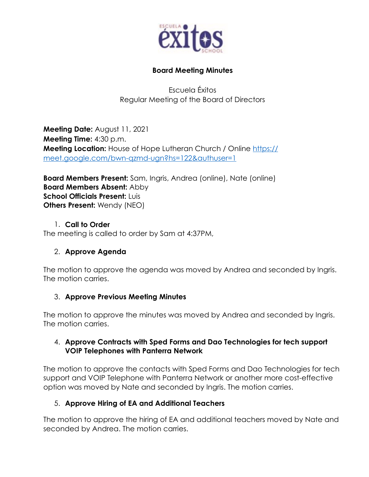

### **Board Meeting Minutes**

Escuela Éxitos Regular Meeting of the Board of Directors

**Meeting Date:** August 11, 2021 **Meeting Time:** 4:30 p.m. **Meeting Location:** House of Hope Lutheran Church / Online https:// meet.google.com/bwn-qzmd-ugn?hs=122&authuser=1

**Board Members Present:** Sam, Ingris, Andrea (online), Nate (online) **Board Members Absent:** Abby **School Officials Present:** Luis **Others Present:** Wendy (NEO)

#### 1. **Call to Order**

The meeting is called to order by Sam at 4:37PM,

### 2. **Approve Agenda**

The motion to approve the agenda was moved by Andrea and seconded by Ingris. The motion carries.

### 3. **Approve Previous Meeting Minutes**

The motion to approve the minutes was moved by Andrea and seconded by Ingris. The motion carries.

### 4. **Approve Contracts with Sped Forms and Dao Technologies for tech support VOIP Telephones with Panterra Network**

The motion to approve the contacts with Sped Forms and Dao Technologies for tech support and VOIP Telephone with Panterra Network or another more cost-effective option was moved by Nate and seconded by Ingris. The motion carries.

### 5. **Approve Hiring of EA and Additional Teachers**

The motion to approve the hiring of EA and additional teachers moved by Nate and seconded by Andrea. The motion carries.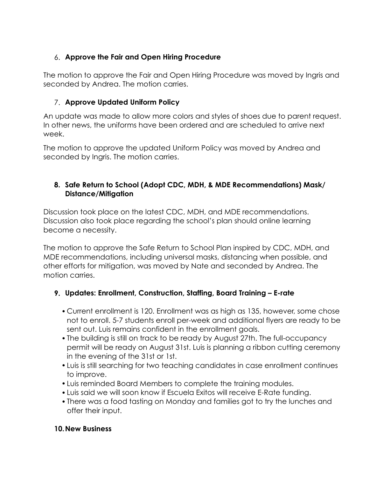# 6. **Approve the Fair and Open Hiring Procedure**

The motion to approve the Fair and Open Hiring Procedure was moved by Ingris and seconded by Andrea. The motion carries.

## 7. **Approve Updated Uniform Policy**

An update was made to allow more colors and styles of shoes due to parent request. In other news, the uniforms have been ordered and are scheduled to arrive next week.

The motion to approve the updated Uniform Policy was moved by Andrea and seconded by Ingris. The motion carries.

## **8. Safe Return to School (Adopt CDC, MDH, & MDE Recommendations) Mask/ Distance/Mitigation**

Discussion took place on the latest CDC, MDH, and MDE recommendations. Discussion also took place regarding the school's plan should online learning become a necessity.

The motion to approve the Safe Return to School Plan inspired by CDC, MDH, and MDE recommendations, including universal masks, distancing when possible, and other efforts for mitigation, was moved by Nate and seconded by Andrea. The motion carries.

## **9. Updates: Enrollment, Construction, Staffing, Board Training – E-rate**

- Current enrollment is 120. Enrollment was as high as 135, however, some chose not to enroll. 5-7 students enroll per-week and additional flyers are ready to be sent out. Luis remains confident in the enrollment goals.
- •The building is still on track to be ready by August 27th. The full-occupancy permit will be ready on August 31st. Luis is planning a ribbon cutting ceremony in the evening of the 31st or 1st.
- •Luis is still searching for two teaching candidates in case enrollment continues to improve.
- •Luis reminded Board Members to complete the training modules.
- •Luis said we will soon know if Escuela Exitos will receive E-Rate funding.
- •There was a food tasting on Monday and families got to try the lunches and offer their input.

## **10.New Business**